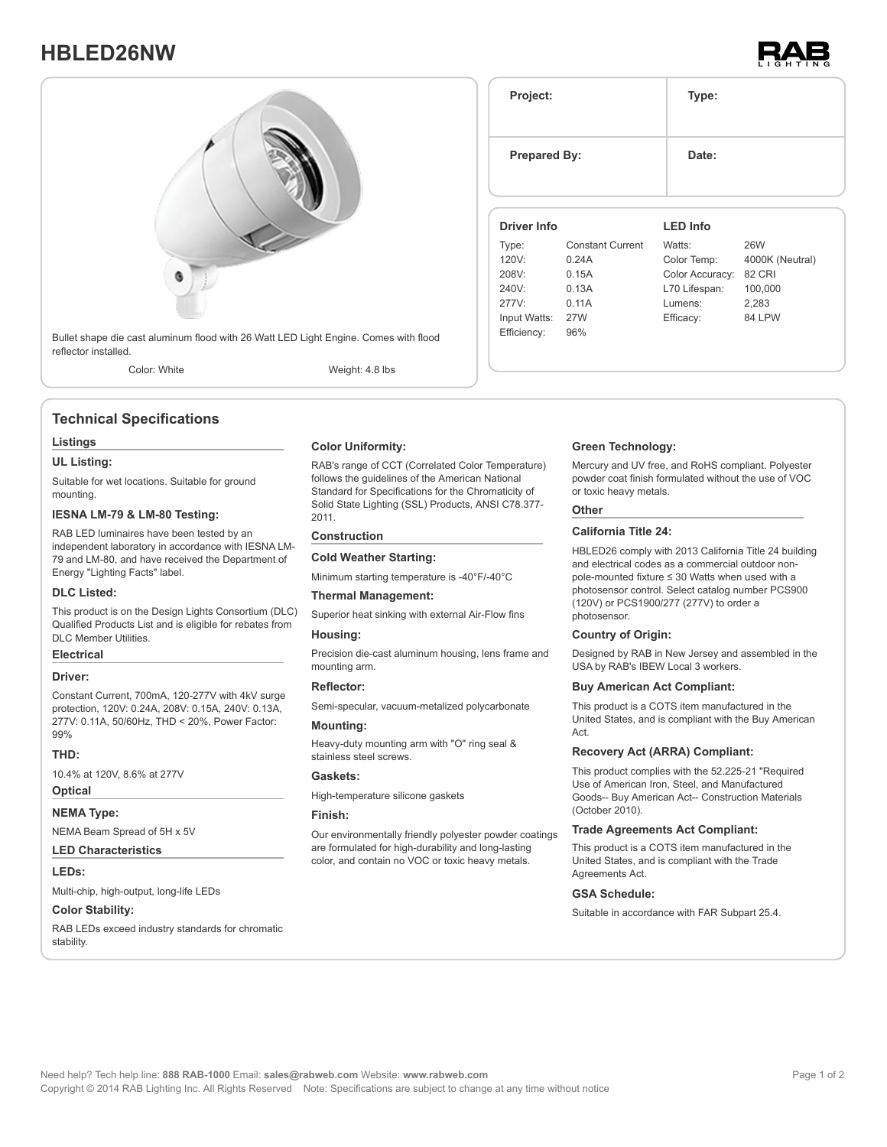# **HBLED26NW**





## **Technical Specifications**

#### **Listings**

#### **UL Listing:**

Suitable for wet locations. Suitable for ground mounting.

### **IESNA LM-79 & LM-80 Testing:**

RAB LED luminaires have been tested by an independent laboratory in accordance with IESNA LM-79 and LM-80, and have received the Department of Energy "Lighting Facts" label.

#### **DLC Listed:**

This product is on the Design Lights Consortium (DLC) Qualified Products List and is eligible for rebates from DLC Member Utilities.

### **Electrical**

#### **Driver:**

Constant Current, 700mA, 120-277V with 4kV surge protection, 120V: 0.24A, 208V: 0.15A, 240V: 0.13A, 277V: 0.11A, 50/60Hz, THD < 20%, Power Factor: 99%

#### **THD:**

10.4% at 120V, 8.6% at 277V

### **Optical**

#### **NEMA Type:**

NEMA Beam Spread of 5H x 5V

#### **LED Characteristics**

#### **LEDs:**

Multi-chip, high-output, long-life LEDs

#### **Color Stability:**

RAB LEDs exceed industry standards for chromatic stability.

#### **Color Uniformity:**

RAB's range of CCT (Correlated Color Temperature) follows the guidelines of the American National Standard for Specifications for the Chromaticity of Solid State Lighting (SSL) Products, ANSI C78.377- 2011.

#### **Construction**

#### **Cold Weather Starting:**

Minimum starting temperature is -40°F/-40°C

#### **Thermal Management:**

Superior heat sinking with external Air-Flow fins

#### **Housing:**

Precision die-cast aluminum housing, lens frame and mounting arm.

#### **Reflector:**

Semi-specular, vacuum-metalized polycarbonate

#### **Mounting:**

Heavy-duty mounting arm with "O" ring seal & stainless steel screws.

#### **Gaskets:**

High-temperature silicone gaskets

#### **Finish:**

Our environmentally friendly polyester powder coatings are formulated for high-durability and long-lasting color, and contain no VOC or toxic heavy metals.

#### **Project: Type: Prepared By:** Date: **Driver Info** Type: Constant Current 120V: 0.24A 208V: 0.15A 240V: 0.13A 277V: 0.11A Input Watts: 27W Efficiency: 96% **LED Info** Watts: 26W Color Temp: 4000K (Neutral) Color Accuracy: 82 CRI L70 Lifespan: 100,000 Lumens: 2,283 Efficacy: 84 LPW

#### **Green Technology:**

Mercury and UV free, and RoHS compliant. Polyester powder coat finish formulated without the use of VOC or toxic heavy metals.

#### **Other**

#### **California Title 24:**

HBLED26 comply with 2013 California Title 24 building and electrical codes as a commercial outdoor nonpole-mounted fixture ≤ 30 Watts when used with a photosensor control. Select catalog number PCS900 (120V) or PCS1900/277 (277V) to order a photosensor.

#### **Country of Origin:**

Designed by RAB in New Jersey and assembled in the USA by RAB's IBEW Local 3 workers.

#### **Buy American Act Compliant:**

This product is a COTS item manufactured in the United States, and is compliant with the Buy American Act.

#### **Recovery Act (ARRA) Compliant:**

This product complies with the 52.225-21 "Required Use of American Iron, Steel, and Manufactured Goods-- Buy American Act-- Construction Materials (October 2010).

#### **Trade Agreements Act Compliant:**

This product is a COTS item manufactured in the United States, and is compliant with the Trade Agreements Act.

#### **GSA Schedule:**

Suitable in accordance with FAR Subpart 25.4.